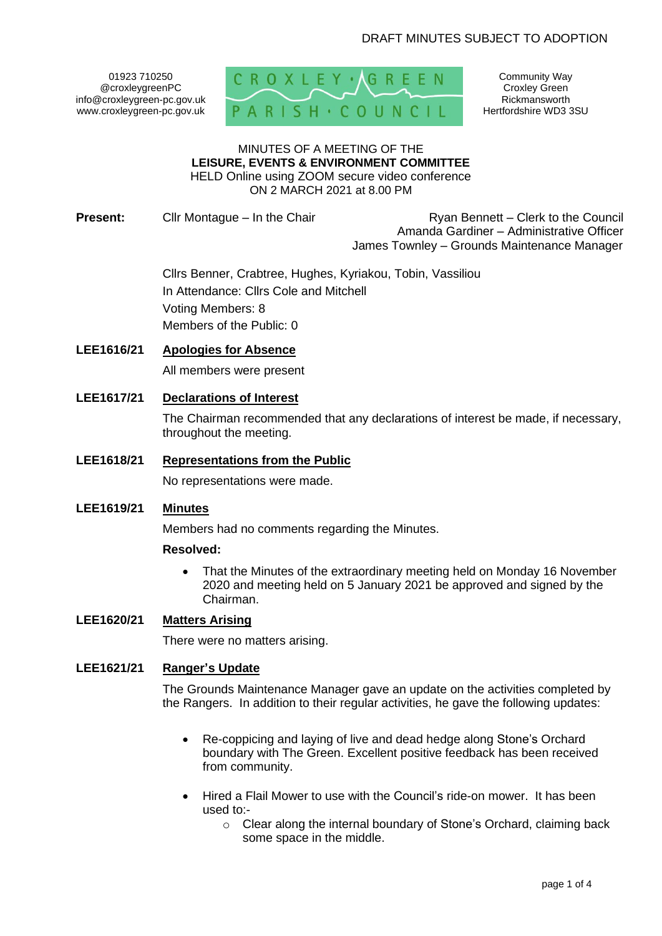01923 710250 @croxleygreenPC info@croxleygreen-pc.gov.uk www.croxleygreen-pc.gov.uk



Community Way Croxley Green Rickmansworth Hertfordshire WD3 3SU

#### MINUTES OF A MEETING OF THE **LEISURE, EVENTS & ENVIRONMENT COMMITTEE** HELD Online using ZOOM secure video conference

ON 2 MARCH 2021 at 8.00 PM

**Present:** Cllr Montague – In the Chair Ryan Bennett – Clerk to the Council Amanda Gardiner – Administrative Officer James Townley – Grounds Maintenance Manager

> Cllrs Benner, Crabtree, Hughes, Kyriakou, Tobin, Vassiliou In Attendance: Cllrs Cole and Mitchell Voting Members: 8 Members of the Public: 0

## **LEE1616/21 Apologies for Absence**

All members were present

**LEE1617/21 Declarations of Interest** 

The Chairman recommended that any declarations of interest be made, if necessary, throughout the meeting.

## **LEE1618/21 Representations from the Public**

No representations were made.

### **LEE1619/21 Minutes**

Members had no comments regarding the Minutes.

### **Resolved:**

• That the Minutes of the extraordinary meeting held on Monday 16 November 2020 and meeting held on 5 January 2021 be approved and signed by the Chairman.

## **LEE1620/21 Matters Arising**

There were no matters arising.

## **LEE1621/21 Ranger's Update**

The Grounds Maintenance Manager gave an update on the activities completed by the Rangers. In addition to their regular activities, he gave the following updates:

- Re-coppicing and laying of live and dead hedge along Stone's Orchard boundary with The Green. Excellent positive feedback has been received from community.
- Hired a Flail Mower to use with the Council's ride-on mower. It has been used to:
	- o Clear along the internal boundary of Stone's Orchard, claiming back some space in the middle.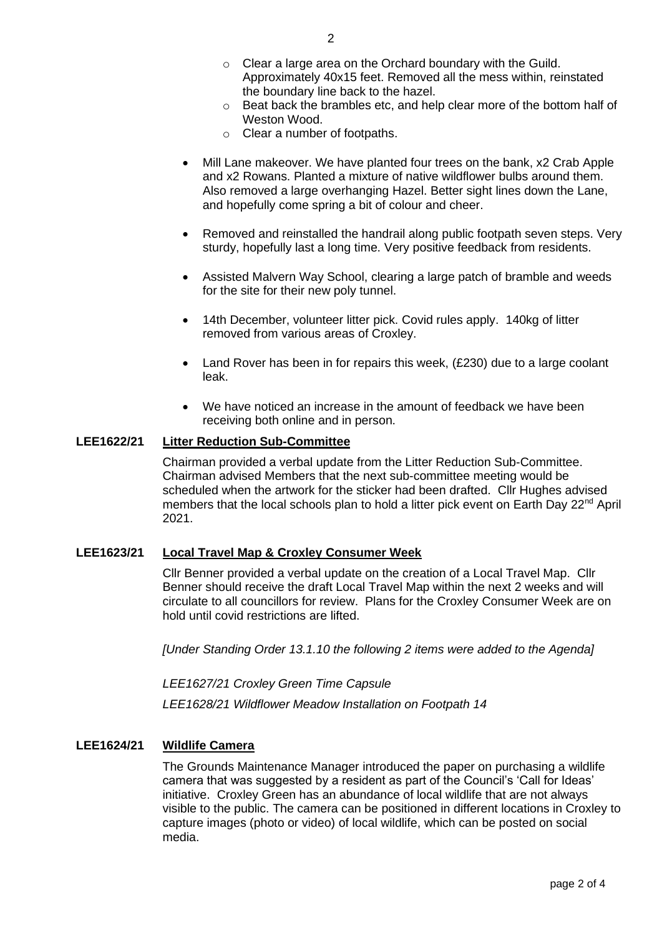- o Clear a large area on the Orchard boundary with the Guild. Approximately 40x15 feet. Removed all the mess within, reinstated the boundary line back to the hazel.
- $\circ$  Beat back the brambles etc, and help clear more of the bottom half of Weston Wood.
- o Clear a number of footpaths.
- Mill Lane makeover. We have planted four trees on the bank, x2 Crab Apple and x2 Rowans. Planted a mixture of native wildflower bulbs around them. Also removed a large overhanging Hazel. Better sight lines down the Lane, and hopefully come spring a bit of colour and cheer.
- Removed and reinstalled the handrail along public footpath seven steps. Very sturdy, hopefully last a long time. Very positive feedback from residents.
- Assisted Malvern Way School, clearing a large patch of bramble and weeds for the site for their new poly tunnel.
- 14th December, volunteer litter pick. Covid rules apply. 140kg of litter removed from various areas of Croxley.
- Land Rover has been in for repairs this week, (£230) due to a large coolant leak.
- We have noticed an increase in the amount of feedback we have been receiving both online and in person.

### **LEE1622/21 Litter Reduction Sub-Committee**

Chairman provided a verbal update from the Litter Reduction Sub-Committee. Chairman advised Members that the next sub-committee meeting would be scheduled when the artwork for the sticker had been drafted. Cllr Hughes advised members that the local schools plan to hold a litter pick event on Earth Day 22<sup>nd</sup> April 2021.

### **LEE1623/21 Local Travel Map & Croxley Consumer Week**

Cllr Benner provided a verbal update on the creation of a Local Travel Map. Cllr Benner should receive the draft Local Travel Map within the next 2 weeks and will circulate to all councillors for review. Plans for the Croxley Consumer Week are on hold until covid restrictions are lifted.

*[Under Standing Order 13.1.10 the following 2 items were added to the Agenda]*

*LEE1627/21 Croxley Green Time Capsule*

*LEE1628/21 Wildflower Meadow Installation on Footpath 14*

### **LEE1624/21 Wildlife Camera**

The Grounds Maintenance Manager introduced the paper on purchasing a wildlife camera that was suggested by a resident as part of the Council's 'Call for Ideas' initiative. Croxley Green has an abundance of local wildlife that are not always visible to the public. The camera can be positioned in different locations in Croxley to capture images (photo or video) of local wildlife, which can be posted on social media.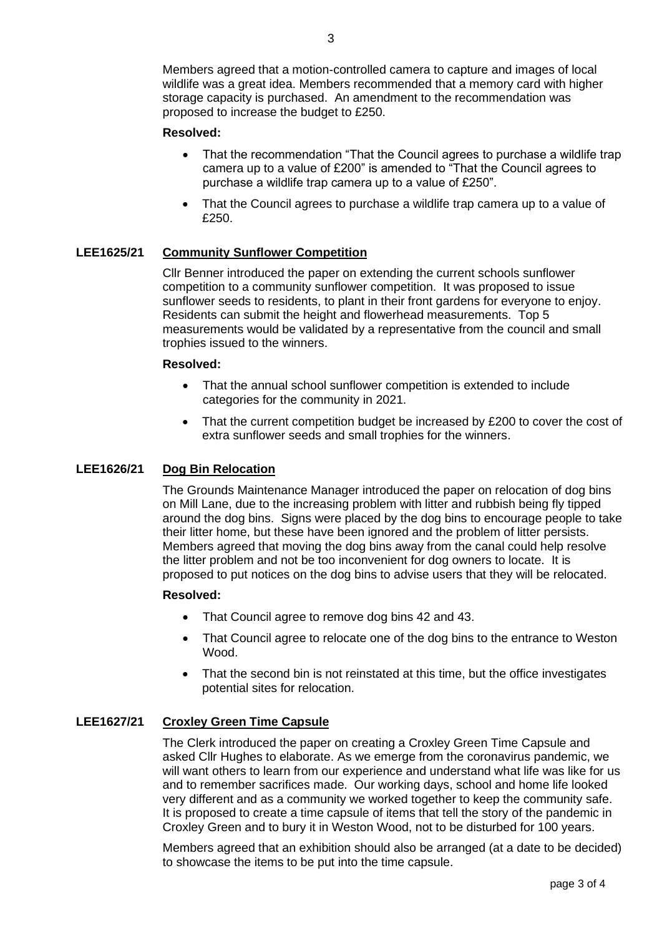Members agreed that a motion-controlled camera to capture and images of local wildlife was a great idea. Members recommended that a memory card with higher storage capacity is purchased. An amendment to the recommendation was proposed to increase the budget to £250.

## **Resolved:**

- That the recommendation "That the Council agrees to purchase a wildlife trap camera up to a value of £200" is amended to "That the Council agrees to purchase a wildlife trap camera up to a value of £250".
- That the Council agrees to purchase a wildlife trap camera up to a value of £250.

## **LEE1625/21 Community Sunflower Competition**

Cllr Benner introduced the paper on extending the current schools sunflower competition to a community sunflower competition. It was proposed to issue sunflower seeds to residents, to plant in their front gardens for everyone to enjoy. Residents can submit the height and flowerhead measurements. Top 5 measurements would be validated by a representative from the council and small trophies issued to the winners.

### **Resolved:**

- That the annual school sunflower competition is extended to include categories for the community in 2021.
- That the current competition budget be increased by £200 to cover the cost of extra sunflower seeds and small trophies for the winners.

# **LEE1626/21 Dog Bin Relocation**

The Grounds Maintenance Manager introduced the paper on relocation of dog bins on Mill Lane, due to the increasing problem with litter and rubbish being fly tipped around the dog bins. Signs were placed by the dog bins to encourage people to take their litter home, but these have been ignored and the problem of litter persists. Members agreed that moving the dog bins away from the canal could help resolve the litter problem and not be too inconvenient for dog owners to locate. It is proposed to put notices on the dog bins to advise users that they will be relocated.

### **Resolved:**

- That Council agree to remove dog bins 42 and 43.
- That Council agree to relocate one of the dog bins to the entrance to Weston Wood.
- That the second bin is not reinstated at this time, but the office investigates potential sites for relocation.

## **LEE1627/21 Croxley Green Time Capsule**

The Clerk introduced the paper on creating a Croxley Green Time Capsule and asked Cllr Hughes to elaborate. As we emerge from the coronavirus pandemic, we will want others to learn from our experience and understand what life was like for us and to remember sacrifices made. Our working days, school and home life looked very different and as a community we worked together to keep the community safe. It is proposed to create a time capsule of items that tell the story of the pandemic in Croxley Green and to bury it in Weston Wood, not to be disturbed for 100 years.

Members agreed that an exhibition should also be arranged (at a date to be decided) to showcase the items to be put into the time capsule.